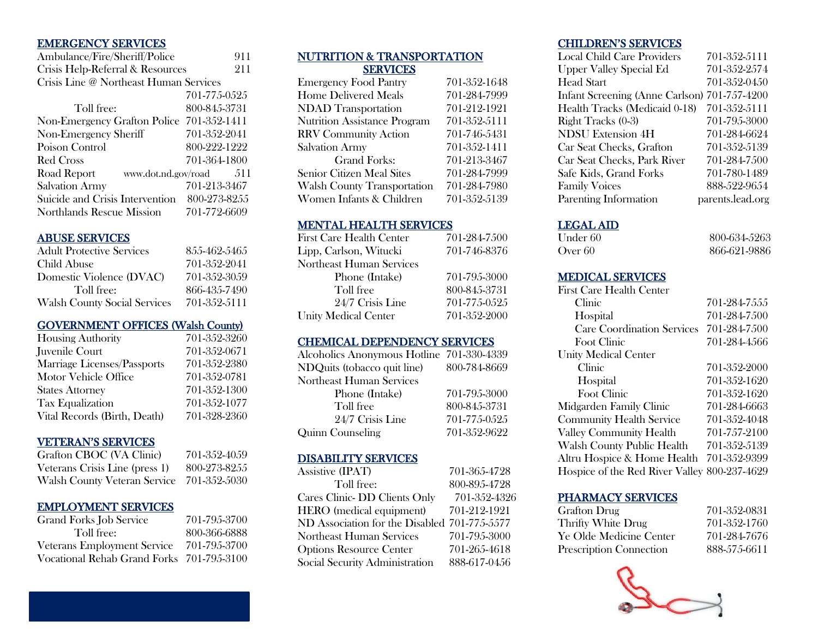# EMERGENCY SERVICES

| Ambulance/Fire/Sheriff/Police             | 911          |
|-------------------------------------------|--------------|
| Crisis Help-Referral & Resources          | 211          |
| Crisis Line @ Northeast Human Services    |              |
|                                           | 701-775-0525 |
| Toll free:                                | 800-845-3731 |
| Non-Emergency Grafton Police 701-352-1411 |              |
| Non-Emergency Sheriff                     | 701-352-2041 |
| Poison Control                            | 800-222-1222 |
| Red Cross                                 | 701-364-1800 |
| Road Report<br>www.dot.nd.gov/road        | 511          |
| <b>Salvation Army</b>                     | 701-213-3467 |
| Suicide and Crisis Intervention           | 800-273-8255 |
| Northlands Rescue Mission                 | 701-772-6609 |

#### ABUSE SERVICES

| <b>Adult Protective Services</b>    | 855-462-5465 |
|-------------------------------------|--------------|
| Child Abuse                         | 701-352-2041 |
| Domestic Violence (DVAC)            | 701-352-3059 |
| Toll free:                          | 866-435-7490 |
| <b>Walsh County Social Services</b> | 701-352-5111 |

#### GOVERNMENT OFFICES (Walsh County)

| <b>Housing Authority</b>     | 701-352-3260 |
|------------------------------|--------------|
| Juvenile Court               | 701-352-0671 |
| Marriage Licenses/Passports  | 701-352-2380 |
| Motor Vehicle Office         | 701-352-0781 |
| <b>States Attorney</b>       | 701-352-1300 |
| Tax Equalization             | 701-352-1077 |
| Vital Records (Birth, Death) | 701-328-2360 |

#### VETERAN'S SERVICES

| Grafton CBOC (VA Clinic)       | 701-352-4059 |
|--------------------------------|--------------|
| Veterans Crisis Line (press 1) | 800-273-8255 |
| Walsh County Veteran Service   | 701-352-5030 |

#### EMPLOYMENT SERVICES

| <b>Grand Forks Job Service</b>            | 701-795-3700 |
|-------------------------------------------|--------------|
| Toll free:                                | 800-366-6888 |
| <b>Veterans Employment Service</b>        | 701-795-3700 |
| Vocational Rehab Grand Forks 701-795-3100 |              |

#### NUTRITION & TRANSPORTATION **SERVICES**

| <b>Emergency Food Pantry</b>        | 701-352-1648 |
|-------------------------------------|--------------|
| <b>Home Delivered Meals</b>         | 701-284-7999 |
| <b>NDAD</b> Transportation          | 701-212-1921 |
| <b>Nutrition Assistance Program</b> | 701-352-5111 |
| <b>RRV</b> Community Action         | 701-746-5431 |
| <b>Salvation Army</b>               | 701-352-1411 |
| <b>Grand Forks:</b>                 | 701-213-3467 |
| Senior Citizen Meal Sites           | 701-284-7999 |
| <b>Walsh County Transportation</b>  | 701-284-7980 |
| Women Infants & Children            | 701-352-5139 |
|                                     |              |

#### MENTAL HEALTH SERVICES

| <b>First Care Health Center</b> | 701-284-7500 |
|---------------------------------|--------------|
| Lipp, Carlson, Witucki          | 701-746-8376 |
| Northeast Human Services        |              |
| Phone (Intake)                  | 701-795-3000 |
| Toll free                       | 800-845-3731 |
| 24/7 Crisis Line                | 701-775-0525 |
| <b>Unity Medical Center</b>     | 701-352-2000 |

#### CHEMICAL DEPENDENCY SERVICES

| Alcoholics Anonymous Hotline 701-330-4339 |              |
|-------------------------------------------|--------------|
| NDQuits (tobacco quit line)               | 800-784-8669 |
| Northeast Human Services                  |              |
| Phone (Intake)                            | 701-795-3000 |
| Toll free                                 | 800-845-3731 |
| 24/7 Crisis Line                          | 701-775-0525 |
| Quinn Counseling                          | 701-352-9622 |

#### DISABILITY SERVICES

| <b>Assistive (IPAT)</b>                      | 701-365-4728 |
|----------------------------------------------|--------------|
| Toll free:                                   | 800-895-4728 |
| Cares Clinic-DD Clients Only                 | 701-352-4326 |
| <b>HERO</b> (medical equipment)              | 701-212-1921 |
| ND Association for the Disabled 701-775-5577 |              |
| <b>Northeast Human Services</b>              | 701-795-3000 |
| <b>Options Resource Center</b>               | 701-265-4618 |
| Social Security Administration               | 888-617-0456 |

# CHILDREN'S SERVICES

| Local Child Care Providers                   | 701-352-5111     |
|----------------------------------------------|------------------|
| <b>Upper Valley Special Ed</b>               | 701-352-2574     |
| <b>Head Start</b>                            | 701-352-0450     |
| Infant Screening (Anne Carlson) 701-757-4200 |                  |
| Health Tracks (Medicaid 0-18)                | 701-352-5111     |
| Right Tracks (0-3)                           | 701-795-3000     |
| <b>NDSU</b> Extension 4H                     | 701-284-6624     |
| Car Seat Checks, Grafton                     | 701-352-5139     |
| Car Seat Checks, Park River                  | 701-284-7500     |
| Safe Kids, Grand Forks                       | 701-780-1489     |
| <b>Family Voices</b>                         | 888-522-9654     |
| Parenting Information                        | parents.lead.org |
|                                              |                  |

#### LEGAL AID

| Under 60 | 800-634-5263 |
|----------|--------------|
| Over 60  | 866-621-9886 |

# MEDICAL SERVICES

| <b>First Care Health Center</b>              |              |
|----------------------------------------------|--------------|
| Clinic                                       | 701-284-7555 |
| Hospital                                     | 701-284-7500 |
| <b>Care Coordination Services</b>            | 701-284-7500 |
| Foot Clinic                                  | 701-284-4566 |
| <b>Unity Medical Center</b>                  |              |
| Clinic                                       | 701-352-2000 |
| Hospital                                     | 701-352-1620 |
| Foot Clinic                                  | 701-352-1620 |
| Midgarden Family Clinic                      | 701-284-6663 |
| <b>Community Health Service</b>              | 701-352-4048 |
| <b>Valley Community Health</b>               | 701-757-2100 |
| Walsh County Public Health                   | 701-352-5139 |
| Altru Hospice & Home Health 701-352-9399     |              |
| Hospice of the Red River Valley 800-237-4629 |              |

#### PHARMACY SERVICES

| Grafton Drug                   | 701-352-0831 |
|--------------------------------|--------------|
| Thrifty White Drug             | 701-352-1760 |
| Ye Olde Medicine Center        | 701-284-7676 |
| <b>Prescription Connection</b> | 888-575-6611 |